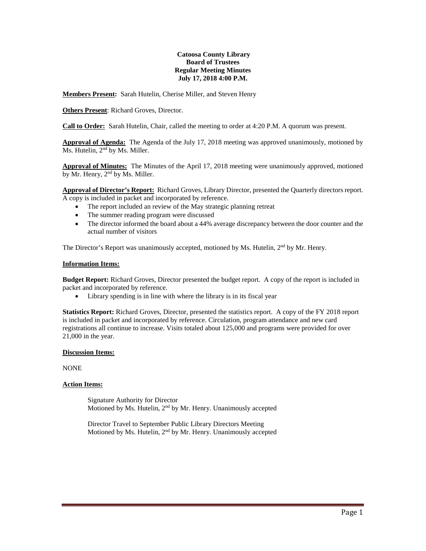#### **Catoosa County Library Board of Trustees Regular Meeting Minutes July 17, 2018 4:00 P.M.**

**Members Present:** Sarah Hutelin, Cherise Miller, and Steven Henry

**Others Present**: Richard Groves, Director.

**Call to Order:** Sarah Hutelin, Chair, called the meeting to order at 4:20 P.M. A quorum was present.

**Approval of Agenda:** The Agenda of the July 17, 2018 meeting was approved unanimously, motioned by Ms. Hutelin, 2<sup>nd</sup> by Ms. Miller.

**Approval of Minutes:** The Minutes of the April 17, 2018 meeting were unanimously approved, motioned by Mr. Henry,  $2<sup>nd</sup>$  by Ms. Miller.

**Approval of Director's Report:** Richard Groves, Library Director, presented the Quarterly directors report. A copy is included in packet and incorporated by reference.

- The report included an review of the May strategic planning retreat
- The summer reading program were discussed
- The director informed the board about a 44% average discrepancy between the door counter and the actual number of visitors

The Director's Report was unanimously accepted, motioned by Ms. Hutelin,  $2<sup>nd</sup>$  by Mr. Henry.

## **Information Items:**

**Budget Report:** Richard Groves, Director presented the budget report. A copy of the report is included in packet and incorporated by reference.

• Library spending is in line with where the library is in its fiscal year

**Statistics Report:** Richard Groves, Director, presented the statistics report. A copy of the FY 2018 report is included in packet and incorporated by reference. Circulation, program attendance and new card registrations all continue to increase. Visits totaled about 125,000 and programs were provided for over 21,000 in the year.

## **Discussion Items:**

NONE

## **Action Items:**

Signature Authority for Director Motioned by Ms. Hutelin, 2nd by Mr. Henry. Unanimously accepted

Director Travel to September Public Library Directors Meeting Motioned by Ms. Hutelin, 2nd by Mr. Henry. Unanimously accepted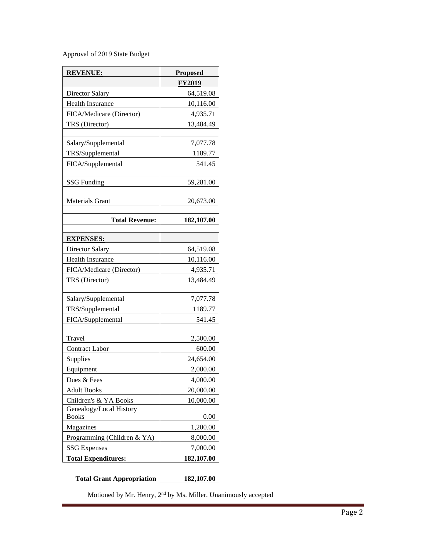Approval of 2019 State Budget

| <b>REVENUE:</b>                         | <b>Proposed</b> |
|-----------------------------------------|-----------------|
|                                         | <b>FY2019</b>   |
| Director Salary                         | 64,519.08       |
| <b>Health Insurance</b>                 | 10,116.00       |
| FICA/Medicare (Director)                | 4,935.71        |
| TRS (Director)                          | 13,484.49       |
|                                         |                 |
| Salary/Supplemental                     | 7,077.78        |
| TRS/Supplemental                        | 1189.77         |
| FICA/Supplemental                       | 541.45          |
|                                         |                 |
| <b>SSG Funding</b>                      | 59,281.00       |
|                                         |                 |
| <b>Materials Grant</b>                  | 20,673.00       |
| <b>Total Revenue:</b>                   | 182,107.00      |
|                                         |                 |
| <b>EXPENSES:</b>                        |                 |
| <b>Director Salary</b>                  | 64,519.08       |
| Health Insurance                        | 10,116.00       |
| FICA/Medicare (Director)                | 4,935.71        |
| TRS (Director)                          | 13,484.49       |
|                                         |                 |
| Salary/Supplemental                     | 7,077.78        |
| TRS/Supplemental                        | 1189.77         |
| FICA/Supplemental                       | 541.45          |
|                                         |                 |
| Travel                                  | 2,500.00        |
| <b>Contract Labor</b>                   | 600.00          |
| Supplies                                | 24,654.00       |
| Equipment                               | 2,000.00        |
| Dues & Fees                             | 4,000.00        |
| <b>Adult Books</b>                      | 20,000.00       |
| Children's & YA Books                   | 10,000.00       |
| Genealogy/Local History<br><b>Books</b> | 0.00            |
| Magazines                               | 1,200.00        |
| Programming (Children & YA)             | 8,000.00        |
| <b>SSG</b> Expenses                     | 7,000.00        |
| <b>Total Expenditures:</b>              | 182,107.00      |

**Total Grant Appropriation 182,107.00**

Motioned by Mr. Henry,  $2^{\rm nd}$  by Ms. Miller. Unanimously accepted